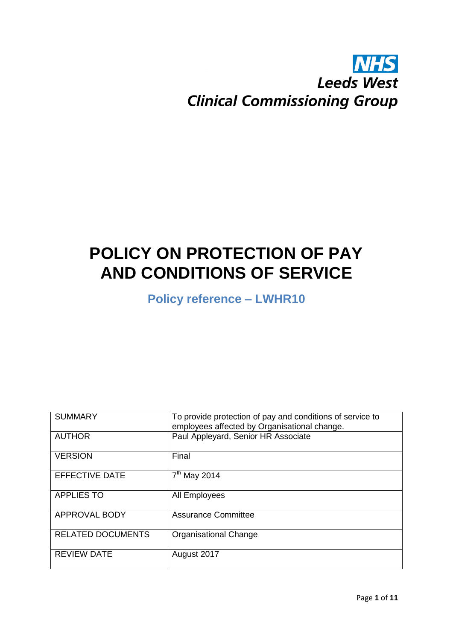## **NHS Leeds West Clinical Commissioning Group**

# **POLICY ON PROTECTION OF PAY AND CONDITIONS OF SERVICE**

**Policy reference – LWHR10**

| <b>SUMMARY</b>           | To provide protection of pay and conditions of service to<br>employees affected by Organisational change. |  |  |  |
|--------------------------|-----------------------------------------------------------------------------------------------------------|--|--|--|
| <b>AUTHOR</b>            | Paul Appleyard, Senior HR Associate                                                                       |  |  |  |
| <b>VERSION</b>           | Final                                                                                                     |  |  |  |
| <b>EFFECTIVE DATE</b>    | $7th$ May 2014                                                                                            |  |  |  |
| <b>APPLIES TO</b>        | All Employees                                                                                             |  |  |  |
| APPROVAL BODY            | <b>Assurance Committee</b>                                                                                |  |  |  |
| <b>RELATED DOCUMENTS</b> | <b>Organisational Change</b>                                                                              |  |  |  |
| <b>REVIEW DATE</b>       | August 2017                                                                                               |  |  |  |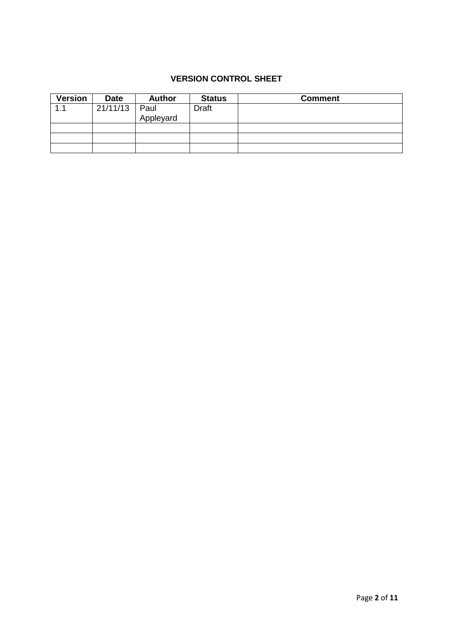## **VERSION CONTROL SHEET**

| <b>Version</b> | <b>Date</b> | <b>Author</b> | <b>Status</b> | <b>Comment</b> |
|----------------|-------------|---------------|---------------|----------------|
|                | 21/11/13    | Paul          | <b>Draft</b>  |                |
|                |             | Appleyard     |               |                |
|                |             |               |               |                |
|                |             |               |               |                |
|                |             |               |               |                |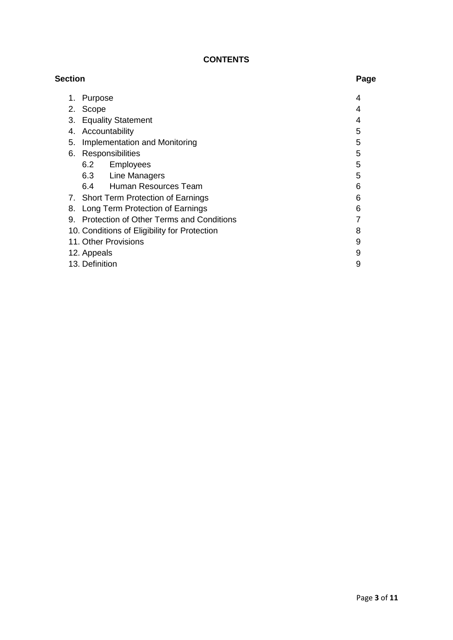## **CONTENTS**

| <b>Section</b> |                                              | Page |
|----------------|----------------------------------------------|------|
| 1.             | Purpose                                      | 4    |
| 2.             | Scope                                        | 4    |
| 3.             | <b>Equality Statement</b>                    | 4    |
| 4.             | Accountability                               | 5    |
| 5.             | <b>Implementation and Monitoring</b>         | 5    |
| 6.             | Responsibilities                             | 5    |
|                | 6.2<br>Employees                             | 5    |
|                | 6.3 Line Managers                            | 5    |
|                | 6.4<br>Human Resources Team                  | 6    |
|                | 7. Short Term Protection of Earnings         | 6    |
| 8.             | Long Term Protection of Earnings             | 6    |
|                | 9. Protection of Other Terms and Conditions  |      |
|                | 10. Conditions of Eligibility for Protection | 8    |
|                | 11. Other Provisions                         | 9    |
|                | 12. Appeals                                  | 9    |
|                | 13. Definition                               | 9    |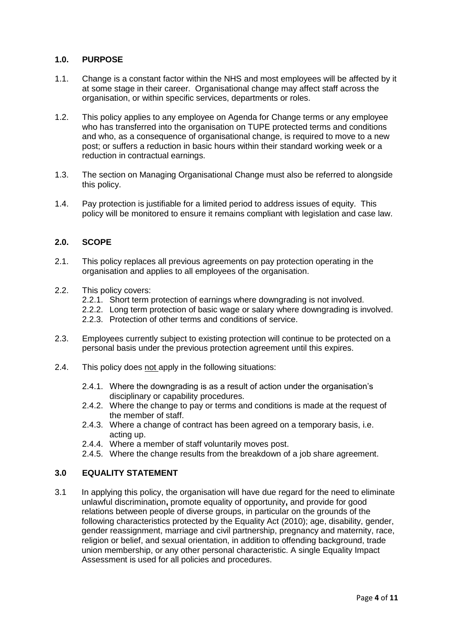#### **1.0. PURPOSE**

- 1.1. Change is a constant factor within the NHS and most employees will be affected by it at some stage in their career. Organisational change may affect staff across the organisation, or within specific services, departments or roles.
- 1.2. This policy applies to any employee on Agenda for Change terms or any employee who has transferred into the organisation on TUPE protected terms and conditions and who, as a consequence of organisational change, is required to move to a new post; or suffers a reduction in basic hours within their standard working week or a reduction in contractual earnings.
- 1.3. The section on Managing Organisational Change must also be referred to alongside this policy.
- 1.4. Pay protection is justifiable for a limited period to address issues of equity. This policy will be monitored to ensure it remains compliant with legislation and case law.

#### **2.0. SCOPE**

- 2.1. This policy replaces all previous agreements on pay protection operating in the organisation and applies to all employees of the organisation.
- 2.2. This policy covers:
	- 2.2.1. Short term protection of earnings where downgrading is not involved.
	- 2.2.2. Long term protection of basic wage or salary where downgrading is involved.
	- 2.2.3. Protection of other terms and conditions of service.
- 2.3. Employees currently subject to existing protection will continue to be protected on a personal basis under the previous protection agreement until this expires.
- 2.4. This policy does not apply in the following situations:
	- 2.4.1. Where the downgrading is as a result of action under the organisation's disciplinary or capability procedures.
	- 2.4.2. Where the change to pay or terms and conditions is made at the request of the member of staff.
	- 2.4.3. Where a change of contract has been agreed on a temporary basis, i.e. acting up.
	- 2.4.4. Where a member of staff voluntarily moves post.
	- 2.4.5. Where the change results from the breakdown of a job share agreement.

#### **3.0 EQUALITY STATEMENT**

3.1 In applying this policy, the organisation will have due regard for the need to eliminate unlawful discrimination**,** promote equality of opportunity**,** and provide for good relations between people of diverse groups, in particular on the grounds of the following characteristics protected by the Equality Act (2010); age, disability, gender, gender reassignment, marriage and civil partnership, pregnancy and maternity, race, religion or belief, and sexual orientation, in addition to offending background, trade union membership, or any other personal characteristic. A single Equality Impact Assessment is used for all policies and procedures.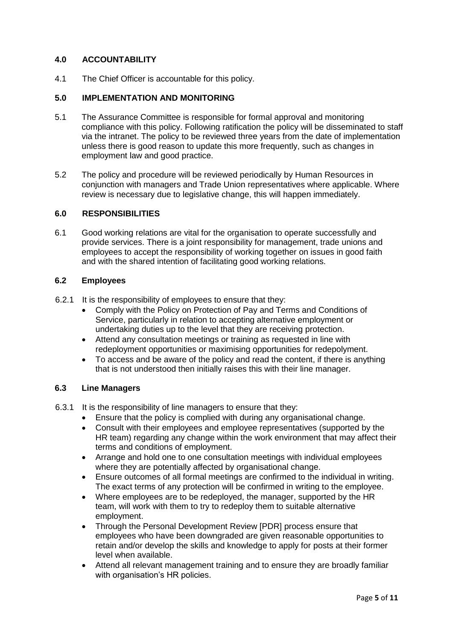#### **4.0 ACCOUNTABILITY**

4.1 The Chief Officer is accountable for this policy.

#### **5.0 IMPLEMENTATION AND MONITORING**

- 5.1 The Assurance Committee is responsible for formal approval and monitoring compliance with this policy. Following ratification the policy will be disseminated to staff via the intranet. The policy to be reviewed three years from the date of implementation unless there is good reason to update this more frequently, such as changes in employment law and good practice.
- 5.2 The policy and procedure will be reviewed periodically by Human Resources in conjunction with managers and Trade Union representatives where applicable. Where review is necessary due to legislative change, this will happen immediately.

#### **6.0 RESPONSIBILITIES**

6.1 Good working relations are vital for the organisation to operate successfully and provide services. There is a joint responsibility for management, trade unions and employees to accept the responsibility of working together on issues in good faith and with the shared intention of facilitating good working relations.

#### **6.2 Employees**

- 6.2.1 It is the responsibility of employees to ensure that they:
	- Comply with the Policy on Protection of Pay and Terms and Conditions of Service, particularly in relation to accepting alternative employment or undertaking duties up to the level that they are receiving protection.
	- Attend any consultation meetings or training as requested in line with redeployment opportunities or maximising opportunities for redepolyment.
	- To access and be aware of the policy and read the content, if there is anything that is not understood then initially raises this with their line manager.

#### **6.3 Line Managers**

- 6.3.1 It is the responsibility of line managers to ensure that they:
	- Ensure that the policy is complied with during any organisational change.
	- Consult with their employees and employee representatives (supported by the HR team) regarding any change within the work environment that may affect their terms and conditions of employment.
	- Arrange and hold one to one consultation meetings with individual employees where they are potentially affected by organisational change.
	- Ensure outcomes of all formal meetings are confirmed to the individual in writing. The exact terms of any protection will be confirmed in writing to the employee.
	- Where employees are to be redeployed, the manager, supported by the HR team, will work with them to try to redeploy them to suitable alternative employment.
	- Through the Personal Development Review [PDR] process ensure that employees who have been downgraded are given reasonable opportunities to retain and/or develop the skills and knowledge to apply for posts at their former level when available.
	- Attend all relevant management training and to ensure they are broadly familiar with organisation's HR policies.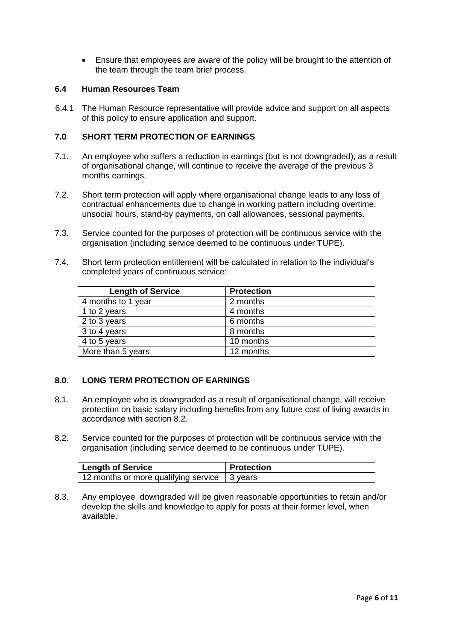Ensure that employees are aware of the policy will be brought to the attention of the team through the team brief process.

#### **6.4 Human Resources Team**

6.4.1 The Human Resource representative will provide advice and support on all aspects of this policy to ensure application and support.

#### **7.0 SHORT TERM PROTECTION OF EARNINGS**

- 7.1. An employee who suffers a reduction in earnings (but is not downgraded), as a result of organisational change, will continue to receive the average of the previous 3 months earnings.
- 7.2. Short term protection will apply where organisational change leads to any loss of contractual enhancements due to change in working pattern including overtime, unsocial hours, stand-by payments, on call allowances, sessional payments.
- 7.3. Service counted for the purposes of protection will be continuous service with the organisation (including service deemed to be continuous under TUPE).
- 7.4. Short term protection entitlement will be calculated in relation to the individual's completed years of continuous service:

| <b>Length of Service</b> | <b>Protection</b> |
|--------------------------|-------------------|
| 4 months to 1 year       | 2 months          |
| 1 to 2 years             | 4 months          |
| 2 to 3 years             | 6 months          |
| 3 to 4 years             | 8 months          |
| 4 to 5 years             | 10 months         |
| More than 5 years        | 12 months         |

#### **8.0. LONG TERM PROTECTION OF EARNINGS**

- 8.1. An employee who is downgraded as a result of organisational change, will receive protection on basic salary including benefits from any future cost of living awards in accordance with section 8.2.
- 8.2. Service counted for the purposes of protection will be continuous service with the organisation (including service deemed to be continuous under TUPE).

| Length of Service                             | <b>Protection</b> |
|-----------------------------------------------|-------------------|
| 12 months or more qualifying service 13 years |                   |

8.3. Any employee downgraded will be given reasonable opportunities to retain and/or develop the skills and knowledge to apply for posts at their former level, when available.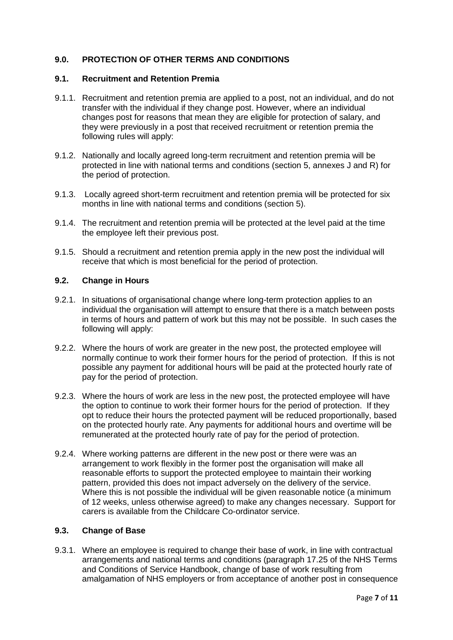#### **9.0. PROTECTION OF OTHER TERMS AND CONDITIONS**

#### **9.1. Recruitment and Retention Premia**

- 9.1.1. Recruitment and retention premia are applied to a post, not an individual, and do not transfer with the individual if they change post. However, where an individual changes post for reasons that mean they are eligible for protection of salary, and they were previously in a post that received recruitment or retention premia the following rules will apply:
- 9.1.2. Nationally and locally agreed long-term recruitment and retention premia will be protected in line with national terms and conditions (section 5, annexes J and R) for the period of protection.
- 9.1.3. Locally agreed short-term recruitment and retention premia will be protected for six months in line with national terms and conditions (section 5).
- 9.1.4. The recruitment and retention premia will be protected at the level paid at the time the employee left their previous post.
- 9.1.5. Should a recruitment and retention premia apply in the new post the individual will receive that which is most beneficial for the period of protection.

#### **9.2. Change in Hours**

- 9.2.1. In situations of organisational change where long-term protection applies to an individual the organisation will attempt to ensure that there is a match between posts in terms of hours and pattern of work but this may not be possible. In such cases the following will apply:
- 9.2.2. Where the hours of work are greater in the new post, the protected employee will normally continue to work their former hours for the period of protection. If this is not possible any payment for additional hours will be paid at the protected hourly rate of pay for the period of protection.
- 9.2.3. Where the hours of work are less in the new post, the protected employee will have the option to continue to work their former hours for the period of protection. If they opt to reduce their hours the protected payment will be reduced proportionally, based on the protected hourly rate. Any payments for additional hours and overtime will be remunerated at the protected hourly rate of pay for the period of protection.
- 9.2.4. Where working patterns are different in the new post or there were was an arrangement to work flexibly in the former post the organisation will make all reasonable efforts to support the protected employee to maintain their working pattern, provided this does not impact adversely on the delivery of the service. Where this is not possible the individual will be given reasonable notice (a minimum of 12 weeks, unless otherwise agreed) to make any changes necessary. Support for carers is available from the Childcare Co-ordinator service.

#### **9.3. Change of Base**

9.3.1. Where an employee is required to change their base of work, in line with contractual arrangements and national terms and conditions (paragraph 17.25 of the NHS Terms and Conditions of Service Handbook, change of base of work resulting from amalgamation of NHS employers or from acceptance of another post in consequence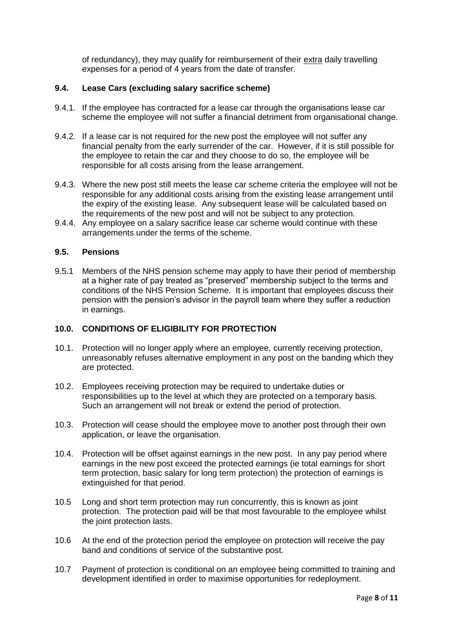of redundancy), they may qualify for reimbursement of their extra daily travelling expenses for a period of 4 years from the date of transfer.

#### **9.4. Lease Cars (excluding salary sacrifice scheme)**

- 9.4.1. If the employee has contracted for a lease car through the organisations lease car scheme the employee will not suffer a financial detriment from organisational change.
- 9.4.2. If a lease car is not required for the new post the employee will not suffer any financial penalty from the early surrender of the car. However, if it is still possible for the employee to retain the car and they choose to do so, the employee will be responsible for all costs arising from the lease arrangement.
- 9.4.3. Where the new post still meets the lease car scheme criteria the employee will not be responsible for any additional costs arising from the existing lease arrangement until the expiry of the existing lease. Any subsequent lease will be calculated based on the requirements of the new post and will not be subject to any protection.
- 9.4.4. Any employee on a salary sacrifice lease car scheme would continue with these arrangements under the terms of the scheme.

#### **9.5. Pensions**

9.5.1 Members of the NHS pension scheme may apply to have their period of membership at a higher rate of pay treated as "preserved" membership subject to the terms and conditions of the NHS Pension Scheme. It is important that employees discuss their pension with the pension's advisor in the payroll team where they suffer a reduction in earnings.

#### **10.0. CONDITIONS OF ELIGIBILITY FOR PROTECTION**

- 10.1. Protection will no longer apply where an employee, currently receiving protection, unreasonably refuses alternative employment in any post on the banding which they are protected.
- 10.2. Employees receiving protection may be required to undertake duties or responsibilities up to the level at which they are protected on a temporary basis. Such an arrangement will not break or extend the period of protection.
- 10.3. Protection will cease should the employee move to another post through their own application, or leave the organisation.
- 10.4. Protection will be offset against earnings in the new post. In any pay period where earnings in the new post exceed the protected earnings (ie total earnings for short term protection, basic salary for long term protection) the protection of earnings is extinguished for that period.
- 10.5 Long and short term protection may run concurrently, this is known as joint protection. The protection paid will be that most favourable to the employee whilst the joint protection lasts.
- 10.6 At the end of the protection period the employee on protection will receive the pay band and conditions of service of the substantive post.
- 10.7 Payment of protection is conditional on an employee being committed to training and development identified in order to maximise opportunities for redeployment.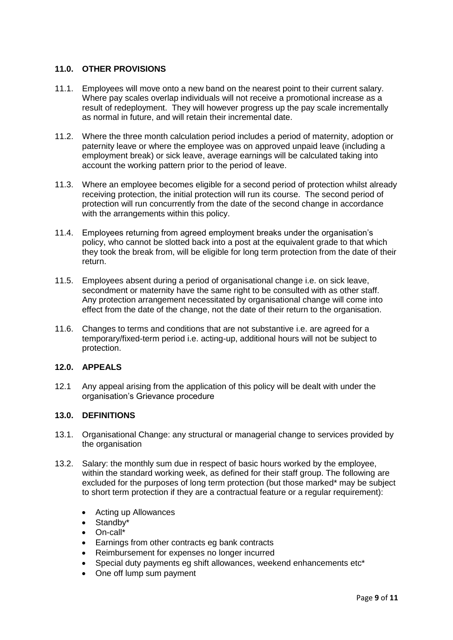#### **11.0. OTHER PROVISIONS**

- 11.1. Employees will move onto a new band on the nearest point to their current salary. Where pay scales overlap individuals will not receive a promotional increase as a result of redeployment. They will however progress up the pay scale incrementally as normal in future, and will retain their incremental date.
- 11.2. Where the three month calculation period includes a period of maternity, adoption or paternity leave or where the employee was on approved unpaid leave (including a employment break) or sick leave, average earnings will be calculated taking into account the working pattern prior to the period of leave.
- 11.3. Where an employee becomes eligible for a second period of protection whilst already receiving protection, the initial protection will run its course. The second period of protection will run concurrently from the date of the second change in accordance with the arrangements within this policy.
- 11.4. Employees returning from agreed employment breaks under the organisation's policy, who cannot be slotted back into a post at the equivalent grade to that which they took the break from, will be eligible for long term protection from the date of their return.
- 11.5. Employees absent during a period of organisational change i.e. on sick leave, secondment or maternity have the same right to be consulted with as other staff. Any protection arrangement necessitated by organisational change will come into effect from the date of the change, not the date of their return to the organisation.
- 11.6. Changes to terms and conditions that are not substantive i.e. are agreed for a temporary/fixed-term period i.e. acting-up, additional hours will not be subject to protection.

## **12.0. APPEALS**

12.1 Any appeal arising from the application of this policy will be dealt with under the organisation's Grievance procedure

#### **13.0. DEFINITIONS**

- 13.1. Organisational Change: any structural or managerial change to services provided by the organisation
- 13.2. Salary: the monthly sum due in respect of basic hours worked by the employee, within the standard working week, as defined for their staff group. The following are excluded for the purposes of long term protection (but those marked\* may be subject to short term protection if they are a contractual feature or a regular requirement):
	- Acting up Allowances
	- Standby\*
	- $\bullet$  On-call\*
	- Earnings from other contracts eg bank contracts
	- Reimbursement for expenses no longer incurred
	- Special duty payments eg shift allowances, weekend enhancements etc\*
	- One off lump sum payment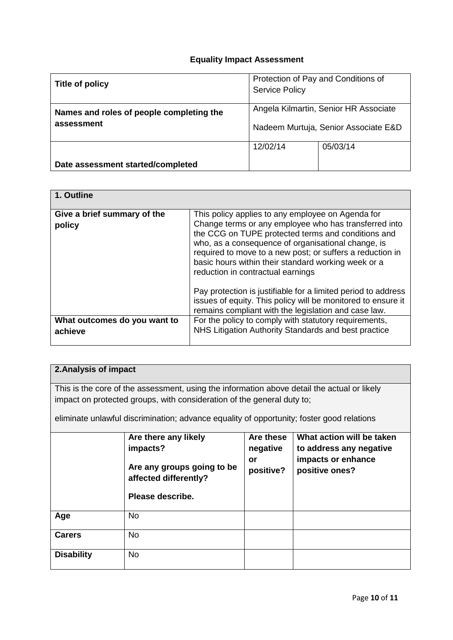#### **Equality Impact Assessment**

| Title of policy                                        | Protection of Pay and Conditions of<br><b>Service Policy</b>                  |          |  |
|--------------------------------------------------------|-------------------------------------------------------------------------------|----------|--|
| Names and roles of people completing the<br>assessment | Angela Kilmartin, Senior HR Associate<br>Nadeem Murtuja, Senior Associate E&D |          |  |
|                                                        | 12/02/14                                                                      | 05/03/14 |  |
| Date assessment started/completed                      |                                                                               |          |  |

| 1. Outline                              |                                                                                                                                                                                                                                                                                                                                                                                 |
|-----------------------------------------|---------------------------------------------------------------------------------------------------------------------------------------------------------------------------------------------------------------------------------------------------------------------------------------------------------------------------------------------------------------------------------|
| Give a brief summary of the<br>policy   | This policy applies to any employee on Agenda for<br>Change terms or any employee who has transferred into<br>the CCG on TUPE protected terms and conditions and<br>who, as a consequence of organisational change, is<br>required to move to a new post; or suffers a reduction in<br>basic hours within their standard working week or a<br>reduction in contractual earnings |
|                                         | Pay protection is justifiable for a limited period to address<br>issues of equity. This policy will be monitored to ensure it<br>remains compliant with the legislation and case law.                                                                                                                                                                                           |
| What outcomes do you want to<br>achieve | For the policy to comply with statutory requirements,<br>NHS Litigation Authority Standards and best practice                                                                                                                                                                                                                                                                   |

## **2.Analysis of impact**

This is the core of the assessment, using the information above detail the actual or likely impact on protected groups, with consideration of the general duty to;

eliminate unlawful discrimination; advance equality of opportunity; foster good relations

|                   | Are there any likely<br>impacts?<br>Are any groups going to be<br>affected differently?<br>Please describe. | Are these<br>negative<br>or<br>positive? | What action will be taken<br>to address any negative<br>impacts or enhance<br>positive ones? |
|-------------------|-------------------------------------------------------------------------------------------------------------|------------------------------------------|----------------------------------------------------------------------------------------------|
| Age               | <b>No</b>                                                                                                   |                                          |                                                                                              |
| <b>Carers</b>     | <b>No</b>                                                                                                   |                                          |                                                                                              |
| <b>Disability</b> | <b>No</b>                                                                                                   |                                          |                                                                                              |